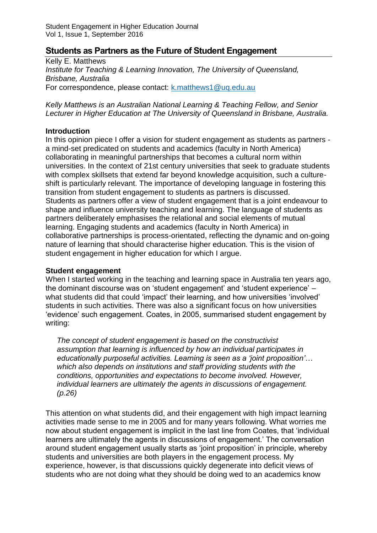# **Students as Partners as the Future of Student Engagement**

Kelly E. Matthews *Institute for Teaching & Learning Innovation, The University of Queensland, Brisbane, Australia* For correspondence, please contact: [k.matthews1@uq.edu.au](mailto:k.matthews1@uq.edu.au)

*Kelly Matthews is an Australian National Learning & Teaching Fellow, and Senior Lecturer in Higher Education at The University of Queensland in Brisbane, Australia.*

### **Introduction**

In this opinion piece I offer a vision for student engagement as students as partners a mind-set predicated on students and academics (faculty in North America) collaborating in meaningful partnerships that becomes a cultural norm within universities. In the context of 21st century universities that seek to graduate students with complex skillsets that extend far beyond knowledge acquisition, such a cultureshift is particularly relevant. The importance of developing language in fostering this transition from student engagement to students as partners is discussed. Students as partners offer a view of student engagement that is a joint endeavour to shape and influence university teaching and learning. The language of students as partners deliberately emphasises the relational and social elements of mutual learning. Engaging students and academics (faculty in North America) in collaborative partnerships is process-orientated, reflecting the dynamic and on-going nature of learning that should characterise higher education. This is the vision of student engagement in higher education for which I argue.

### **Student engagement**

When I started working in the teaching and learning space in Australia ten years ago, the dominant discourse was on 'student engagement' and 'student experience' – what students did that could 'impact' their learning, and how universities 'involved' students in such activities. There was also a significant focus on how universities 'evidence' such engagement. Coates, in 2005, summarised student engagement by writing:

*The concept of student engagement is based on the constructivist assumption that learning is influenced by how an individual participates in educationally purposeful activities. Learning is seen as a 'joint proposition'… which also depends on institutions and staff providing students with the conditions, opportunities and expectations to become involved. However, individual learners are ultimately the agents in discussions of engagement. (p.26)*

This attention on what students did, and their engagement with high impact learning activities made sense to me in 2005 and for many years following. What worries me now about student engagement is implicit in the last line from Coates, that 'individual learners are ultimately the agents in discussions of engagement.' The conversation around student engagement usually starts as 'joint proposition' in principle, whereby students and universities are both players in the engagement process. My experience, however, is that discussions quickly degenerate into deficit views of students who are not doing what they should be doing wed to an academics know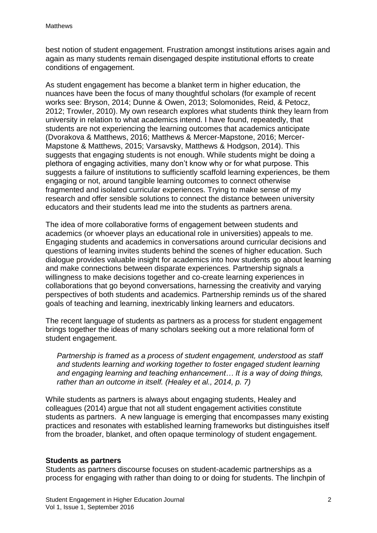best notion of student engagement. Frustration amongst institutions arises again and again as many students remain disengaged despite institutional efforts to create conditions of engagement.

As student engagement has become a blanket term in higher education, the nuances have been the focus of many thoughtful scholars (for example of recent works see: Bryson, 2014; Dunne & Owen, 2013; Solomonides, Reid, & Petocz, 2012; Trowler, 2010). My own research explores what students think they learn from university in relation to what academics intend. I have found, repeatedly, that students are not experiencing the learning outcomes that academics anticipate (Dvorakova & Matthews, 2016; Matthews & Mercer-Mapstone, 2016; Mercer-Mapstone & Matthews, 2015; Varsavsky, Matthews & Hodgson, 2014). This suggests that engaging students is not enough. While students might be doing a plethora of engaging activities, many don't know why or for what purpose. This suggests a failure of institutions to sufficiently scaffold learning experiences, be them engaging or not, around tangible learning outcomes to connect otherwise fragmented and isolated curricular experiences. Trying to make sense of my research and offer sensible solutions to connect the distance between university educators and their students lead me into the students as partners arena.

The idea of more collaborative forms of engagement between students and academics (or whoever plays an educational role in universities) appeals to me. Engaging students and academics in conversations around curricular decisions and questions of learning invites students behind the scenes of higher education. Such dialogue provides valuable insight for academics into how students go about learning and make connections between disparate experiences. Partnership signals a willingness to make decisions together and co-create learning experiences in collaborations that go beyond conversations, harnessing the creativity and varying perspectives of both students and academics. Partnership reminds us of the shared goals of teaching and learning, inextricably linking learners and educators.

The recent language of students as partners as a process for student engagement brings together the ideas of many scholars seeking out a more relational form of student engagement.

*Partnership is framed as a process of student engagement, understood as staff and students learning and working together to foster engaged student learning and engaging learning and teaching enhancement… It is a way of doing things, rather than an outcome in itself. (Healey et al., 2014, p. 7)*

While students as partners is always about engaging students, Healey and colleagues (2014) argue that not all student engagement activities constitute students as partners. A new language is emerging that encompasses many existing practices and resonates with established learning frameworks but distinguishes itself from the broader, blanket, and often opaque terminology of student engagement.

#### **Students as partners**

Students as partners discourse focuses on student-academic partnerships as a process for engaging with rather than doing to or doing for students. The linchpin of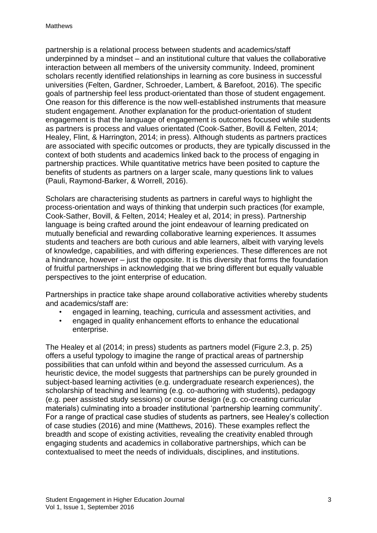partnership is a relational process between students and academics/staff underpinned by a mindset – and an institutional culture that values the collaborative interaction between all members of the university community. Indeed, prominent scholars recently identified relationships in learning as core business in successful universities (Felten, Gardner, Schroeder, Lambert, & Barefoot, 2016). The specific goals of partnership feel less product-orientated than those of student engagement. One reason for this difference is the now well-established instruments that measure student engagement. Another explanation for the product-orientation of student engagement is that the language of engagement is outcomes focused while students as partners is process and values orientated (Cook-Sather, Bovill & Felten, 2014; Healey, Flint, & Harrington, 2014; in press). Although students as partners practices are associated with specific outcomes or products, they are typically discussed in the context of both students and academics linked back to the process of engaging in partnership practices. While quantitative metrics have been posited to capture the benefits of students as partners on a larger scale, many questions link to values (Pauli, Raymond-Barker, & Worrell, 2016).

Scholars are characterising students as partners in careful ways to highlight the process-orientation and ways of thinking that underpin such practices (for example, Cook-Sather, Bovill, & Felten, 2014; Healey et al, 2014; in press). Partnership language is being crafted around the joint endeavour of learning predicated on mutually beneficial and rewarding collaborative learning experiences. It assumes students and teachers are both curious and able learners, albeit with varying levels of knowledge, capabilities, and with differing experiences. These differences are not a hindrance, however – just the opposite. It is this diversity that forms the foundation of fruitful partnerships in acknowledging that we bring different but equally valuable perspectives to the joint enterprise of education.

Partnerships in practice take shape around collaborative activities whereby students and academics/staff are:

- engaged in learning, teaching, curricula and assessment activities, and
- engaged in quality enhancement efforts to enhance the educational enterprise.

The Healey et al (2014; in press) students as partners model (Figure 2.3, p. 25) offers a useful typology to imagine the range of practical areas of partnership possibilities that can unfold within and beyond the assessed curriculum. As a heuristic device, the model suggests that partnerships can be purely grounded in subject-based learning activities (e.g. undergraduate research experiences), the scholarship of teaching and learning (e.g. co-authoring with students), pedagogy (e.g. peer assisted study sessions) or course design (e.g. co-creating curricular materials) culminating into a broader institutional 'partnership learning community'. For a range of practical case studies of students as partners, see Healey's collection of case studies (2016) and mine (Matthews, 2016). These examples reflect the breadth and scope of existing activities, revealing the creativity enabled through engaging students and academics in collaborative partnerships, which can be contextualised to meet the needs of individuals, disciplines, and institutions.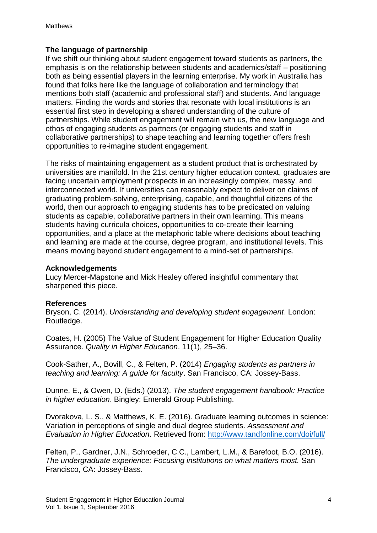## **The language of partnership**

If we shift our thinking about student engagement toward students as partners, the emphasis is on the relationship between students and academics/staff – positioning both as being essential players in the learning enterprise. My work in Australia has found that folks here like the language of collaboration and terminology that mentions both staff (academic and professional staff) and students. And language matters. Finding the words and stories that resonate with local institutions is an essential first step in developing a shared understanding of the culture of partnerships. While student engagement will remain with us, the new language and ethos of engaging students as partners (or engaging students and staff in collaborative partnerships) to shape teaching and learning together offers fresh opportunities to re-imagine student engagement.

The risks of maintaining engagement as a student product that is orchestrated by universities are manifold. In the 21st century higher education context, graduates are facing uncertain employment prospects in an increasingly complex, messy, and interconnected world. If universities can reasonably expect to deliver on claims of graduating problem-solving, enterprising, capable, and thoughtful citizens of the world, then our approach to engaging students has to be predicated on valuing students as capable, collaborative partners in their own learning. This means students having curricula choices, opportunities to co-create their learning opportunities, and a place at the metaphoric table where decisions about teaching and learning are made at the course, degree program, and institutional levels. This means moving beyond student engagement to a mind-set of partnerships.

### **Acknowledgements**

Lucy Mercer-Mapstone and Mick Healey offered insightful commentary that sharpened this piece.

### **References**

Bryson, C. (2014). *Understanding and developing student engagement*. London: Routledge.

Coates, H. (2005) The Value of Student Engagement for Higher Education Quality Assurance. *Quality in Higher Education*. 11(1), 25–36.

Cook-Sather, A., Bovill, C., & Felten, P. (2014) *Engaging students as partners in teaching and learning: A guide for faculty*. San Francisco, CA: Jossey-Bass.

Dunne, E., & Owen, D. (Eds.) (2013). *The student engagement handbook: Practice in higher education*. Bingley: Emerald Group Publishing.

Dvorakova, L. S., & Matthews, K. E. (2016). Graduate learning outcomes in science: Variation in perceptions of single and dual degree students. *Assessment and Evaluation in Higher Education*. Retrieved from: [http://www.tandfonline.com/doi/full/](http://www.tandfonline.com/doi/full/10.1080/02602938.2016.1208804)

Felten, P., Gardner, J.N., Schroeder, C.C., Lambert, L.M., & Barefoot, B.O. (2016). *The undergraduate experience: Focusing institutions on what matters most.* San Francisco, CA: Jossey-Bass.